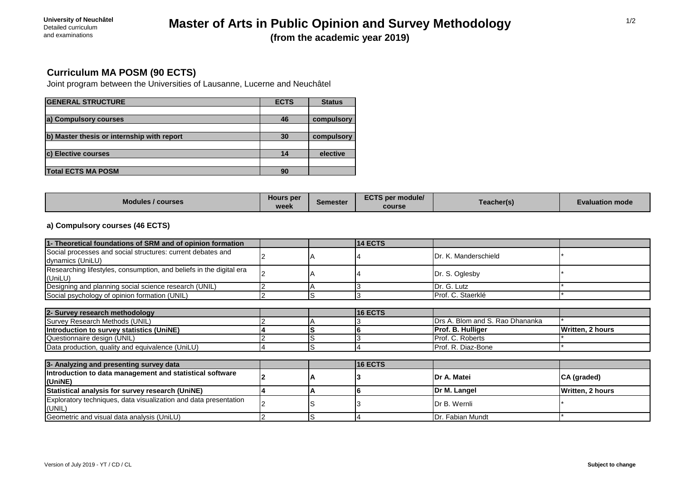## **Master of Arts in Public Opinion and Survey Methodology (from the academic year 2019)**

## **Curriculum MA POSM (90 ECTS)**

Joint program between the Universities of Lausanne, Lucerne and Neuchâtel

| <b>GENERAL STRUCTURE</b>                   | <b>ECTS</b> | <b>Status</b> |
|--------------------------------------------|-------------|---------------|
|                                            |             |               |
| a) Compulsory courses                      | 46          | compulsory    |
|                                            |             |               |
| b) Master thesis or internship with report | 30          | compulsory    |
|                                            |             |               |
| c) Elective courses                        | 14          | elective      |
|                                            |             |               |
| <b>Total ECTS MA POSM</b>                  | 90          |               |

| Modules<br>/ courses | <b>Hours per</b><br>MOP<br><u>WCCV</u> | Semester | <b>FATA</b><br>* module/<br>$\angle$ CTS per<br>course | Teacher(s) | <b>Evaluation mode</b> |
|----------------------|----------------------------------------|----------|--------------------------------------------------------|------------|------------------------|
|----------------------|----------------------------------------|----------|--------------------------------------------------------|------------|------------------------|

## **a) Compulsory courses (46 ECTS)**

| 1- Theoretical foundations of SRM and of opinion formation                      |  | <b>14 ECTS</b> |                                 |                  |
|---------------------------------------------------------------------------------|--|----------------|---------------------------------|------------------|
| Social processes and social structures: current debates and<br>dynamics (UniLU) |  |                | IDr. K. Manderschield           |                  |
| Researching lifestyles, consumption, and beliefs in the digital era<br>(UniLU)  |  |                | Dr. S. Oglesby                  |                  |
| Designing and planning social science research (UNIL)                           |  |                | Dr. G. Lutz                     |                  |
| Social psychology of opinion formation (UNIL)                                   |  |                | Prof. C. Staerklé               |                  |
|                                                                                 |  |                |                                 |                  |
| 2- Survey research methodology                                                  |  | 16 ECTS        |                                 |                  |
| Survey Research Methods (UNIL)                                                  |  |                | Drs A. Blom and S. Rao Dhananka |                  |
| Introduction to survey statistics (UniNE)                                       |  |                | Prof. B. Hulliger               | Written, 2 hours |
| Questionnaire design (UNIL)                                                     |  |                | Prof. C. Roberts                |                  |
| Data production, quality and equivalence (UniLU)                                |  |                | Prof. R. Diaz-Bone              |                  |
|                                                                                 |  |                |                                 |                  |
| 3- Analyzing and presenting survey data                                         |  | 16 ECTS        |                                 |                  |
| Introduction to data management and statistical software<br>(UniNE)             |  |                | Dr A. Matei                     | CA (graded)      |
| Statistical analysis for survey research (UniNE)                                |  |                | Dr M. Langel                    | Written, 2 hours |
| Exploratory techniques, data visualization and data presentation<br>(UNIL)      |  |                | Dr B. Wernli                    |                  |
| Geometric and visual data analysis (UniLU)                                      |  |                | Dr. Fabian Mundt                |                  |